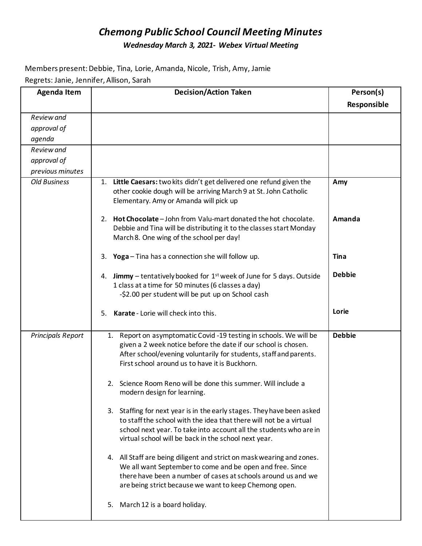## *Chemong Public School Council Meeting Minutes Wednesday March 3, 2021- Webex Virtual Meeting*

Members present: Debbie, Tina, Lorie, Amanda, Nicole, Trish, Amy, Jamie Regrets: Janie, Jennifer, Allison, Sarah

| <b>Agenda Item</b>       | <b>Decision/Action Taken</b>                                                                                                                                                                                                                                                                                                                                                                                                                                                                                                                                                                                                                                                                                                                                                                                                                                                                                                                        | Person(s)     |
|--------------------------|-----------------------------------------------------------------------------------------------------------------------------------------------------------------------------------------------------------------------------------------------------------------------------------------------------------------------------------------------------------------------------------------------------------------------------------------------------------------------------------------------------------------------------------------------------------------------------------------------------------------------------------------------------------------------------------------------------------------------------------------------------------------------------------------------------------------------------------------------------------------------------------------------------------------------------------------------------|---------------|
|                          |                                                                                                                                                                                                                                                                                                                                                                                                                                                                                                                                                                                                                                                                                                                                                                                                                                                                                                                                                     | Responsible   |
| Review and               |                                                                                                                                                                                                                                                                                                                                                                                                                                                                                                                                                                                                                                                                                                                                                                                                                                                                                                                                                     |               |
| approval of              |                                                                                                                                                                                                                                                                                                                                                                                                                                                                                                                                                                                                                                                                                                                                                                                                                                                                                                                                                     |               |
| agenda                   |                                                                                                                                                                                                                                                                                                                                                                                                                                                                                                                                                                                                                                                                                                                                                                                                                                                                                                                                                     |               |
| Review and               |                                                                                                                                                                                                                                                                                                                                                                                                                                                                                                                                                                                                                                                                                                                                                                                                                                                                                                                                                     |               |
| approval of              |                                                                                                                                                                                                                                                                                                                                                                                                                                                                                                                                                                                                                                                                                                                                                                                                                                                                                                                                                     |               |
| previous minutes         |                                                                                                                                                                                                                                                                                                                                                                                                                                                                                                                                                                                                                                                                                                                                                                                                                                                                                                                                                     |               |
| <b>Old Business</b>      | Little Caesars: two kits didn't get delivered one refund given the<br>1.<br>other cookie dough will be arriving March 9 at St. John Catholic<br>Elementary. Amy or Amanda will pick up                                                                                                                                                                                                                                                                                                                                                                                                                                                                                                                                                                                                                                                                                                                                                              | Amy           |
|                          | 2. Hot Chocolate - John from Valu-mart donated the hot chocolate.<br>Debbie and Tina will be distributing it to the classes start Monday<br>March 8. One wing of the school per day!                                                                                                                                                                                                                                                                                                                                                                                                                                                                                                                                                                                                                                                                                                                                                                | Amanda        |
|                          | Yoga - Tina has a connection she will follow up.<br>3.                                                                                                                                                                                                                                                                                                                                                                                                                                                                                                                                                                                                                                                                                                                                                                                                                                                                                              | <b>Tina</b>   |
|                          | 4. Jimmy - tentatively booked for 1 <sup>st</sup> week of June for 5 days. Outside<br>1 class at a time for 50 minutes (6 classes a day)<br>-\$2.00 per student will be put up on School cash                                                                                                                                                                                                                                                                                                                                                                                                                                                                                                                                                                                                                                                                                                                                                       | <b>Debbie</b> |
|                          | Karate - Lorie will check into this.<br>5.                                                                                                                                                                                                                                                                                                                                                                                                                                                                                                                                                                                                                                                                                                                                                                                                                                                                                                          | Lorie         |
| <b>Principals Report</b> | Report on asymptomatic Covid -19 testing in schools. We will be<br>1.<br>given a 2 week notice before the date if our school is chosen.<br>After school/evening voluntarily for students, staff and parents.<br>First school around us to have it is Buckhorn.<br>Science Room Reno will be done this summer. Will include a<br>2.<br>modern design for learning.<br>3. Staffing for next year is in the early stages. They have been asked<br>to staff the school with the idea that there will not be a virtual<br>school next year. To take into account all the students who are in<br>virtual school will be back in the school next year.<br>4. All Staff are being diligent and strict on mask wearing and zones.<br>We all want September to come and be open and free. Since<br>there have been a number of cases at schools around us and we<br>are being strict because we want to keep Chemong open.<br>5. March 12 is a board holiday. | <b>Debbie</b> |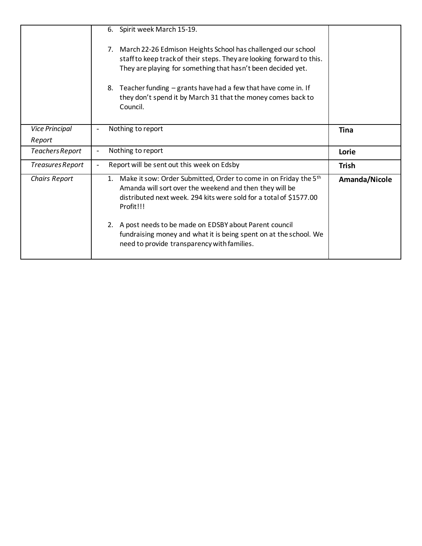|                                 | 6. Spirit week March 15-19.<br>March 22-26 Edmison Heights School has challenged our school<br>7.<br>staff to keep track of their steps. They are looking forward to this.<br>They are playing for something that hasn't been decided yet.<br>8. Teacher funding – grants have had a few that have come in. If<br>they don't spend it by March 31 that the money comes back to<br>Council.        |               |
|---------------------------------|---------------------------------------------------------------------------------------------------------------------------------------------------------------------------------------------------------------------------------------------------------------------------------------------------------------------------------------------------------------------------------------------------|---------------|
| <b>Vice Principal</b><br>Report | Nothing to report                                                                                                                                                                                                                                                                                                                                                                                 | Tina          |
|                                 |                                                                                                                                                                                                                                                                                                                                                                                                   |               |
| Teachers Report                 | Nothing to report                                                                                                                                                                                                                                                                                                                                                                                 | Lorie         |
| Treasures Report                | Report will be sent out this week on Edsby                                                                                                                                                                                                                                                                                                                                                        | <b>Trish</b>  |
| <b>Chairs Report</b>            | 1. Make it sow: Order Submitted, Order to come in on Friday the 5th<br>Amanda will sort over the weekend and then they will be<br>distributed next week. 294 kits were sold for a total of \$1577.00<br>Profit!!!<br>2. A post needs to be made on EDSBY about Parent council<br>fundraising money and what it is being spent on at the school. We<br>need to provide transparency with families. | Amanda/Nicole |